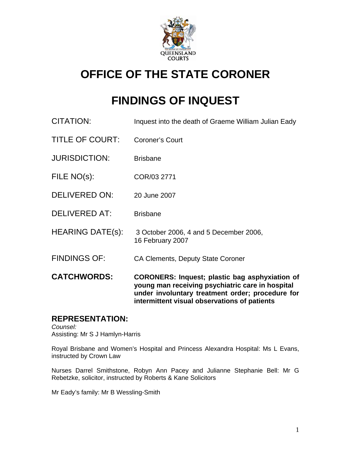

# **OFFICE OF THE STATE CORONER**

# **FINDINGS OF INQUEST**

| <b>CATCHWORDS:</b>      | <b>CORONERS: Inquest; plastic bag asphyxiation of</b><br>young man receiving psychiatric care in hospital<br>under involuntary treatment order; procedure for<br>intermittent visual observations of patients |
|-------------------------|---------------------------------------------------------------------------------------------------------------------------------------------------------------------------------------------------------------|
| <b>FINDINGS OF:</b>     | <b>CA Clements, Deputy State Coroner</b>                                                                                                                                                                      |
| <b>HEARING DATE(s):</b> | 3 October 2006, 4 and 5 December 2006,<br>16 February 2007                                                                                                                                                    |
| <b>DELIVERED AT:</b>    | <b>Brisbane</b>                                                                                                                                                                                               |
| <b>DELIVERED ON:</b>    | 20 June 2007                                                                                                                                                                                                  |
| FILE NO(s):             | COR/03 2771                                                                                                                                                                                                   |
| <b>JURISDICTION:</b>    | <b>Brisbane</b>                                                                                                                                                                                               |
| <b>TITLE OF COURT:</b>  | <b>Coroner's Court</b>                                                                                                                                                                                        |
| <b>CITATION:</b>        | Inquest into the death of Graeme William Julian Eady                                                                                                                                                          |

# **REPRESENTATION:**

*Counsel:*  Assisting: Mr S J Hamlyn-Harris

Royal Brisbane and Women's Hospital and Princess Alexandra Hospital: Ms L Evans, instructed by Crown Law

Nurses Darrel Smithstone, Robyn Ann Pacey and Julianne Stephanie Bell: Mr G Rebetzke, solicitor, instructed by Roberts & Kane Solicitors

Mr Eady's family: Mr B Wessling-Smith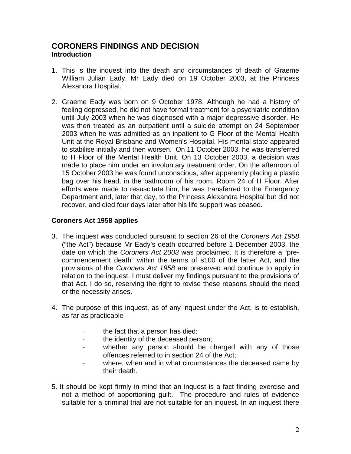## **CORONERS FINDINGS AND DECISION Introduction**

- 1. This is the inquest into the death and circumstances of death of Graeme William Julian Eady. Mr Eady died on 19 October 2003, at the Princess Alexandra Hospital.
- 2. Graeme Eady was born on 9 October 1978. Although he had a history of feeling depressed, he did not have formal treatment for a psychiatric condition until July 2003 when he was diagnosed with a major depressive disorder. He was then treated as an outpatient until a suicide attempt on 24 September 2003 when he was admitted as an inpatient to G Floor of the Mental Health Unit at the Royal Brisbane and Women's Hospital. His mental state appeared to stabilise initially and then worsen. On 11 October 2003, he was transferred to H Floor of the Mental Health Unit. On 13 October 2003, a decision was made to place him under an involuntary treatment order. On the afternoon of 15 October 2003 he was found unconscious, after apparently placing a plastic bag over his head, in the bathroom of his room, Room 24 of H Floor. After efforts were made to resuscitate him, he was transferred to the Emergency Department and, later that day, to the Princess Alexandra Hospital but did not recover, and died four days later after his life support was ceased.

### **Coroners Act 1958 applies**

- 3. The inquest was conducted pursuant to section 26 of the *Coroners Act 1958*  ("the Act") because Mr Eady's death occurred before 1 December 2003, the date on which the *Coroners Act 2003* was proclaimed. It is therefore a "precommencement death" within the terms of s100 of the latter Act, and the provisions of the *Coroners Act 1958* are preserved and continue to apply in relation to the inquest. I must deliver my findings pursuant to the provisions of that Act. I do so, reserving the right to revise these reasons should the need or the necessity arises.
- 4. The purpose of this inquest, as of any inquest under the Act, is to establish, as far as practicable –
	- the fact that a person has died:
	- the identity of the deceased person;
	- whether any person should be charged with any of those offences referred to in section 24 of the Act;
	- where, when and in what circumstances the deceased came by their death.
- 5. It should be kept firmly in mind that an inquest is a fact finding exercise and not a method of apportioning guilt. The procedure and rules of evidence suitable for a criminal trial are not suitable for an inquest. In an inquest there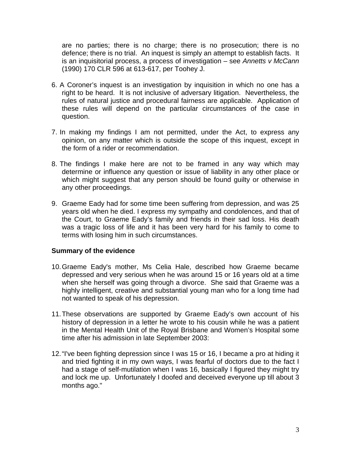are no parties; there is no charge; there is no prosecution; there is no defence; there is no trial. An inquest is simply an attempt to establish facts. It is an inquisitorial process, a process of investigation – see *Annetts v McCann*  (1990) 170 CLR 596 at 613-617, per Toohey J.

- 6. A Coroner's inquest is an investigation by inquisition in which no one has a right to be heard. It is not inclusive of adversary litigation. Nevertheless, the rules of natural justice and procedural fairness are applicable. Application of these rules will depend on the particular circumstances of the case in question.
- 7. In making my findings I am not permitted, under the Act, to express any opinion, on any matter which is outside the scope of this inquest, except in the form of a rider or recommendation.
- 8. The findings I make here are not to be framed in any way which may determine or influence any question or issue of liability in any other place or which might suggest that any person should be found guilty or otherwise in any other proceedings.
- 9. Graeme Eady had for some time been suffering from depression, and was 25 years old when he died. I express my sympathy and condolences, and that of the Court, to Graeme Eady's family and friends in their sad loss. His death was a tragic loss of life and it has been very hard for his family to come to terms with losing him in such circumstances.

#### **Summary of the evidence**

- 10. Graeme Eady's mother, Ms Celia Hale, described how Graeme became depressed and very serious when he was around 15 or 16 years old at a time when she herself was going through a divorce. She said that Graeme was a highly intelligent, creative and substantial young man who for a long time had not wanted to speak of his depression.
- 11. These observations are supported by Graeme Eady's own account of his history of depression in a letter he wrote to his cousin while he was a patient in the Mental Health Unit of the Royal Brisbane and Women's Hospital some time after his admission in late September 2003:
- 12. "I've been fighting depression since I was 15 or 16, I became a pro at hiding it and tried fighting it in my own ways, I was fearful of doctors due to the fact I had a stage of self-mutilation when I was 16, basically I figured they might try and lock me up. Unfortunately I doofed and deceived everyone up till about 3 months ago."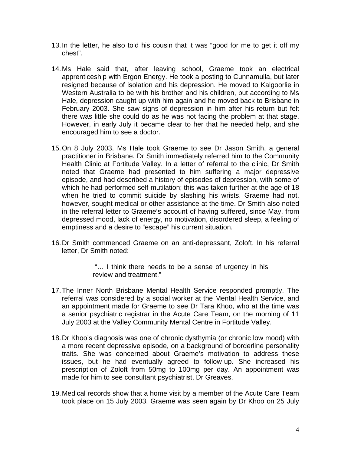- 13. In the letter, he also told his cousin that it was "good for me to get it off my chest".
- 14. Ms Hale said that, after leaving school, Graeme took an electrical apprenticeship with Ergon Energy. He took a posting to Cunnamulla, but later resigned because of isolation and his depression. He moved to Kalgoorlie in Western Australia to be with his brother and his children, but according to Ms Hale, depression caught up with him again and he moved back to Brisbane in February 2003. She saw signs of depression in him after his return but felt there was little she could do as he was not facing the problem at that stage. However, in early July it became clear to her that he needed help, and she encouraged him to see a doctor.
- 15. On 8 July 2003, Ms Hale took Graeme to see Dr Jason Smith, a general practitioner in Brisbane. Dr Smith immediately referred him to the Community Health Clinic at Fortitude Valley. In a letter of referral to the clinic, Dr Smith noted that Graeme had presented to him suffering a major depressive episode, and had described a history of episodes of depression, with some of which he had performed self-mutilation; this was taken further at the age of 18 when he tried to commit suicide by slashing his wrists. Graeme had not, however, sought medical or other assistance at the time. Dr Smith also noted in the referral letter to Graeme's account of having suffered, since May, from depressed mood, lack of energy, no motivation, disordered sleep, a feeling of emptiness and a desire to "escape" his current situation.
- 16. Dr Smith commenced Graeme on an anti-depressant, Zoloft. In his referral letter, Dr Smith noted:

 "… I think there needs to be a sense of urgency in his review and treatment."

- 17. The Inner North Brisbane Mental Health Service responded promptly. The referral was considered by a social worker at the Mental Health Service, and an appointment made for Graeme to see Dr Tara Khoo, who at the time was a senior psychiatric registrar in the Acute Care Team, on the morning of 11 July 2003 at the Valley Community Mental Centre in Fortitude Valley.
- 18. Dr Khoo's diagnosis was one of chronic dysthymia (or chronic low mood) with a more recent depressive episode, on a background of borderline personality traits. She was concerned about Graeme's motivation to address these issues, but he had eventually agreed to follow-up. She increased his prescription of Zoloft from 50mg to 100mg per day. An appointment was made for him to see consultant psychiatrist, Dr Greaves.
- 19. Medical records show that a home visit by a member of the Acute Care Team took place on 15 July 2003. Graeme was seen again by Dr Khoo on 25 July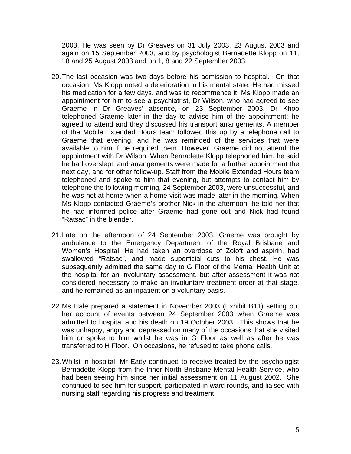2003. He was seen by Dr Greaves on 31 July 2003, 23 August 2003 and again on 15 September 2003, and by psychologist Bernadette Klopp on 11, 18 and 25 August 2003 and on 1, 8 and 22 September 2003.

- 20. The last occasion was two days before his admission to hospital. On that occasion, Ms Klopp noted a deterioration in his mental state. He had missed his medication for a few days, and was to recommence it. Ms Klopp made an appointment for him to see a psychiatrist, Dr Wilson, who had agreed to see Graeme in Dr Greaves' absence, on 23 September 2003. Dr Khoo telephoned Graeme later in the day to advise him of the appointment; he agreed to attend and they discussed his transport arrangements. A member of the Mobile Extended Hours team followed this up by a telephone call to Graeme that evening, and he was reminded of the services that were available to him if he required them. However, Graeme did not attend the appointment with Dr Wilson. When Bernadette Klopp telephoned him, he said he had overslept, and arrangements were made for a further appointment the next day, and for other follow-up. Staff from the Mobile Extended Hours team telephoned and spoke to him that evening, but attempts to contact him by telephone the following morning, 24 September 2003, were unsuccessful, and he was not at home when a home visit was made later in the morning. When Ms Klopp contacted Graeme's brother Nick in the afternoon, he told her that he had informed police after Graeme had gone out and Nick had found "Ratsac" in the blender.
- 21. Late on the afternoon of 24 September 2003, Graeme was brought by ambulance to the Emergency Department of the Royal Brisbane and Women's Hospital. He had taken an overdose of Zoloft and aspirin, had swallowed "Ratsac", and made superficial cuts to his chest. He was subsequently admitted the same day to G Floor of the Mental Health Unit at the hospital for an involuntary assessment, but after assessment it was not considered necessary to make an involuntary treatment order at that stage, and he remained as an inpatient on a voluntary basis.
- 22. Ms Hale prepared a statement in November 2003 (Exhibit B11) setting out her account of events between 24 September 2003 when Graeme was admitted to hospital and his death on 19 October 2003. This shows that he was unhappy, angry and depressed on many of the occasions that she visited him or spoke to him whilst he was in G Floor as well as after he was transferred to H Floor. On occasions, he refused to take phone calls.
- 23. Whilst in hospital, Mr Eady continued to receive treated by the psychologist Bernadette Klopp from the Inner North Brisbane Mental Health Service, who had been seeing him since her initial assessment on 11 August 2002. She continued to see him for support, participated in ward rounds, and liaised with nursing staff regarding his progress and treatment.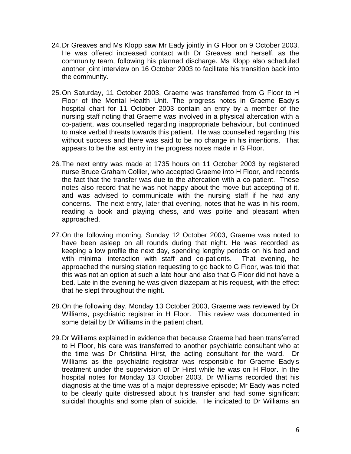- 24. Dr Greaves and Ms Klopp saw Mr Eady jointly in G Floor on 9 October 2003. He was offered increased contact with Dr Greaves and herself, as the community team, following his planned discharge. Ms Klopp also scheduled another joint interview on 16 October 2003 to facilitate his transition back into the community.
- 25. On Saturday, 11 October 2003, Graeme was transferred from G Floor to H Floor of the Mental Health Unit. The progress notes in Graeme Eady's hospital chart for 11 October 2003 contain an entry by a member of the nursing staff noting that Graeme was involved in a physical altercation with a co-patient, was counselled regarding inappropriate behaviour, but continued to make verbal threats towards this patient. He was counselled regarding this without success and there was said to be no change in his intentions. That appears to be the last entry in the progress notes made in G Floor.
- 26. The next entry was made at 1735 hours on 11 October 2003 by registered nurse Bruce Graham Collier, who accepted Graeme into H Floor, and records the fact that the transfer was due to the altercation with a co-patient. These notes also record that he was not happy about the move but accepting of it, and was advised to communicate with the nursing staff if he had any concerns. The next entry, later that evening, notes that he was in his room, reading a book and playing chess, and was polite and pleasant when approached.
- 27. On the following morning, Sunday 12 October 2003, Graeme was noted to have been asleep on all rounds during that night. He was recorded as keeping a low profile the next day, spending lengthy periods on his bed and with minimal interaction with staff and co-patients. That evening, he approached the nursing station requesting to go back to G Floor, was told that this was not an option at such a late hour and also that G Floor did not have a bed. Late in the evening he was given diazepam at his request, with the effect that he slept throughout the night.
- 28. On the following day, Monday 13 October 2003, Graeme was reviewed by Dr Williams, psychiatric registrar in H Floor. This review was documented in some detail by Dr Williams in the patient chart.
- 29. Dr Williams explained in evidence that because Graeme had been transferred to H Floor, his care was transferred to another psychiatric consultant who at the time was Dr Christina Hirst, the acting consultant for the ward. Dr Williams as the psychiatric registrar was responsible for Graeme Eady's treatment under the supervision of Dr Hirst while he was on H Floor. In the hospital notes for Monday 13 October 2003, Dr Williams recorded that his diagnosis at the time was of a major depressive episode; Mr Eady was noted to be clearly quite distressed about his transfer and had some significant suicidal thoughts and some plan of suicide. He indicated to Dr Williams an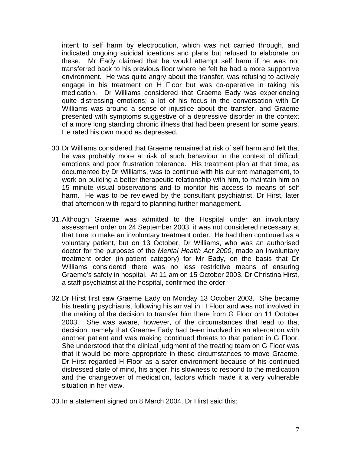intent to self harm by electrocution, which was not carried through, and indicated ongoing suicidal ideations and plans but refused to elaborate on these. Mr Eady claimed that he would attempt self harm if he was not transferred back to his previous floor where he felt he had a more supportive environment. He was quite angry about the transfer, was refusing to actively engage in his treatment on H Floor but was co-operative in taking his medication. Dr Williams considered that Graeme Eady was experiencing quite distressing emotions; a lot of his focus in the conversation with Dr Williams was around a sense of injustice about the transfer, and Graeme presented with symptoms suggestive of a depressive disorder in the context of a more long standing chronic illness that had been present for some years. He rated his own mood as depressed.

- 30. Dr Williams considered that Graeme remained at risk of self harm and felt that he was probably more at risk of such behaviour in the context of difficult emotions and poor frustration tolerance. His treatment plan at that time, as documented by Dr Williams, was to continue with his current management, to work on building a better therapeutic relationship with him, to maintain him on 15 minute visual observations and to monitor his access to means of self harm. He was to be reviewed by the consultant psychiatrist, Dr Hirst, later that afternoon with regard to planning further management.
- 31. Although Graeme was admitted to the Hospital under an involuntary assessment order on 24 September 2003, it was not considered necessary at that time to make an involuntary treatment order. He had then continued as a voluntary patient, but on 13 October, Dr Williams, who was an authorised doctor for the purposes of the *Mental Health Act 2000*, made an involuntary treatment order (in-patient category) for Mr Eady, on the basis that Dr Williams considered there was no less restrictive means of ensuring Graeme's safety in hospital. At 11 am on 15 October 2003, Dr Christina Hirst, a staff psychiatrist at the hospital, confirmed the order.
- 32. Dr Hirst first saw Graeme Eady on Monday 13 October 2003. She became his treating psychiatrist following his arrival in H Floor and was not involved in the making of the decision to transfer him there from G Floor on 11 October 2003. She was aware, however, of the circumstances that lead to that decision, namely that Graeme Eady had been involved in an altercation with another patient and was making continued threats to that patient in G Floor. She understood that the clinical judgment of the treating team on G Floor was that it would be more appropriate in these circumstances to move Graeme. Dr Hirst regarded H Floor as a safer environment because of his continued distressed state of mind, his anger, his slowness to respond to the medication and the changeover of medication, factors which made it a very vulnerable situation in her view.
- 33. In a statement signed on 8 March 2004, Dr Hirst said this: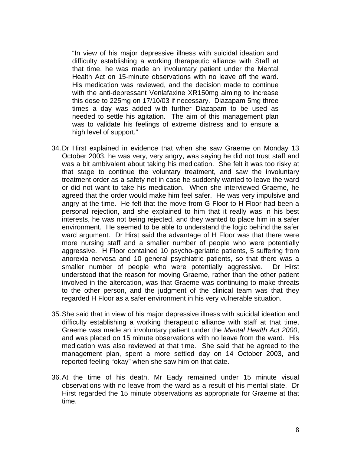"In view of his major depressive illness with suicidal ideation and difficulty establishing a working therapeutic alliance with Staff at that time, he was made an involuntary patient under the Mental Health Act on 15-minute observations with no leave off the ward. His medication was reviewed, and the decision made to continue with the anti-depressant Venlafaxine XR150mg aiming to increase this dose to 225mg on 17/10/03 if necessary. Diazapam 5mg three times a day was added with further Diazapam to be used as needed to settle his agitation. The aim of this management plan was to validate his feelings of extreme distress and to ensure a high level of support."

- 34. Dr Hirst explained in evidence that when she saw Graeme on Monday 13 October 2003, he was very, very angry, was saying he did not trust staff and was a bit ambivalent about taking his medication. She felt it was too risky at that stage to continue the voluntary treatment, and saw the involuntary treatment order as a safety net in case he suddenly wanted to leave the ward or did not want to take his medication. When she interviewed Graeme, he agreed that the order would make him feel safer. He was very impulsive and angry at the time. He felt that the move from G Floor to H Floor had been a personal rejection, and she explained to him that it really was in his best interests, he was not being rejected, and they wanted to place him in a safer environment. He seemed to be able to understand the logic behind the safer ward argument. Dr Hirst said the advantage of H Floor was that there were more nursing staff and a smaller number of people who were potentially aggressive. H Floor contained 10 psycho-geriatric patients, 5 suffering from anorexia nervosa and 10 general psychiatric patients, so that there was a smaller number of people who were potentially aggressive. Dr Hirst understood that the reason for moving Graeme, rather than the other patient involved in the altercation, was that Graeme was continuing to make threats to the other person, and the judgment of the clinical team was that they regarded H Floor as a safer environment in his very vulnerable situation.
- 35. She said that in view of his major depressive illness with suicidal ideation and difficulty establishing a working therapeutic alliance with staff at that time, Graeme was made an involuntary patient under the *Mental Health Act 2000*, and was placed on 15 minute observations with no leave from the ward. His medication was also reviewed at that time. She said that he agreed to the management plan, spent a more settled day on 14 October 2003, and reported feeling "okay" when she saw him on that date.
- 36. At the time of his death, Mr Eady remained under 15 minute visual observations with no leave from the ward as a result of his mental state. Dr Hirst regarded the 15 minute observations as appropriate for Graeme at that time.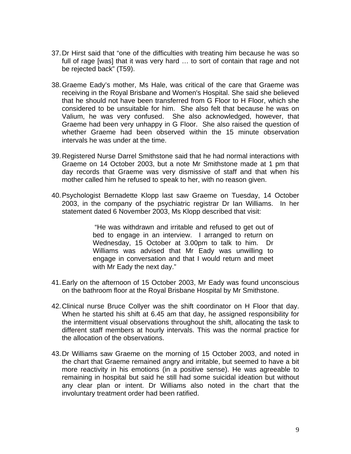- 37. Dr Hirst said that "one of the difficulties with treating him because he was so full of rage [was] that it was very hard … to sort of contain that rage and not be rejected back" (T59).
- 38. Graeme Eady's mother, Ms Hale, was critical of the care that Graeme was receiving in the Royal Brisbane and Women's Hospital. She said she believed that he should not have been transferred from G Floor to H Floor, which she considered to be unsuitable for him. She also felt that because he was on Valium, he was very confused. She also acknowledged, however, that Graeme had been very unhappy in G Floor. She also raised the question of whether Graeme had been observed within the 15 minute observation intervals he was under at the time.
- 39. Registered Nurse Darrel Smithstone said that he had normal interactions with Graeme on 14 October 2003, but a note Mr Smithstone made at 1 pm that day records that Graeme was very dismissive of staff and that when his mother called him he refused to speak to her, with no reason given.
- 40. Psychologist Bernadette Klopp last saw Graeme on Tuesday, 14 October 2003, in the company of the psychiatric registrar Dr Ian Williams. In her statement dated 6 November 2003, Ms Klopp described that visit:

 "He was withdrawn and irritable and refused to get out of bed to engage in an interview. I arranged to return on Wednesday, 15 October at 3.00pm to talk to him. Dr Williams was advised that Mr Eady was unwilling to engage in conversation and that I would return and meet with Mr Eady the next day."

- 41. Early on the afternoon of 15 October 2003, Mr Eady was found unconscious on the bathroom floor at the Royal Brisbane Hospital by Mr Smithstone.
- 42. Clinical nurse Bruce Collyer was the shift coordinator on H Floor that day. When he started his shift at 6.45 am that day, he assigned responsibility for the intermittent visual observations throughout the shift, allocating the task to different staff members at hourly intervals. This was the normal practice for the allocation of the observations.
- 43. Dr Williams saw Graeme on the morning of 15 October 2003, and noted in the chart that Graeme remained angry and irritable, but seemed to have a bit more reactivity in his emotions (in a positive sense). He was agreeable to remaining in hospital but said he still had some suicidal ideation but without any clear plan or intent. Dr Williams also noted in the chart that the involuntary treatment order had been ratified.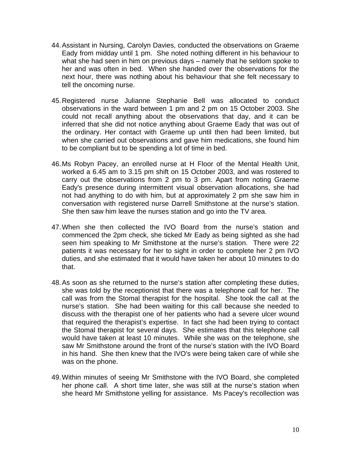- 44. Assistant in Nursing, Carolyn Davies, conducted the observations on Graeme Eady from midday until 1 pm. She noted nothing different in his behaviour to what she had seen in him on previous days – namely that he seldom spoke to her and was often in bed. When she handed over the observations for the next hour, there was nothing about his behaviour that she felt necessary to tell the oncoming nurse.
- 45. Registered nurse Julianne Stephanie Bell was allocated to conduct observations in the ward between 1 pm and 2 pm on 15 October 2003. She could not recall anything about the observations that day, and it can be inferred that she did not notice anything about Graeme Eady that was out of the ordinary. Her contact with Graeme up until then had been limited, but when she carried out observations and gave him medications, she found him to be compliant but to be spending a lot of time in bed.
- 46. Ms Robyn Pacey, an enrolled nurse at H Floor of the Mental Health Unit, worked a 6.45 am to 3.15 pm shift on 15 October 2003, and was rostered to carry out the observations from 2 pm to 3 pm. Apart from noting Graeme Eady's presence during intermittent visual observation allocations, she had not had anything to do with him, but at approximately 2 pm she saw him in conversation with registered nurse Darrell Smithstone at the nurse's station. She then saw him leave the nurses station and go into the TV area.
- 47. When she then collected the IVO Board from the nurse's station and commenced the 2pm check, she ticked Mr Eady as being sighted as she had seen him speaking to Mr Smithstone at the nurse's station. There were 22 patients it was necessary for her to sight in order to complete her 2 pm IVO duties, and she estimated that it would have taken her about 10 minutes to do that.
- 48. As soon as she returned to the nurse's station after completing these duties, she was told by the receptionist that there was a telephone call for her. The call was from the Stomal therapist for the hospital. She took the call at the nurse's station. She had been waiting for this call because she needed to discuss with the therapist one of her patients who had a severe ulcer wound that required the therapist's expertise. In fact she had been trying to contact the Stomal therapist for several days. She estimates that this telephone call would have taken at least 10 minutes. While she was on the telephone, she saw Mr Smithstone around the front of the nurse's station with the IVO Board in his hand. She then knew that the IVO's were being taken care of while she was on the phone.
- 49. Within minutes of seeing Mr Smithstone with the IVO Board, she completed her phone call. A short time later, she was still at the nurse's station when she heard Mr Smithstone yelling for assistance. Ms Pacey's recollection was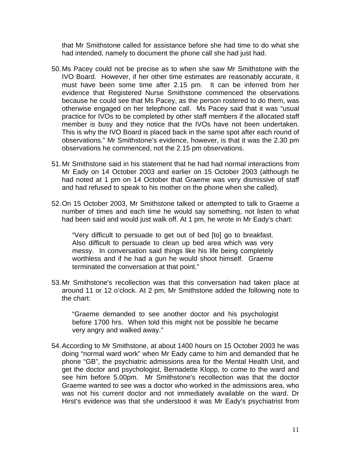that Mr Smithstone called for assistance before she had time to do what she had intended, namely to document the phone call she had just had.

- 50. Ms Pacey could not be precise as to when she saw Mr Smithstone with the IVO Board. However, if her other time estimates are reasonably accurate, it must have been some time after 2.15 pm. It can be inferred from her evidence that Registered Nurse Smithstone commenced the observations because he could see that Ms Pacey, as the person rostered to do them, was otherwise engaged on her telephone call. Ms Pacey said that it was "usual practice for IVOs to be completed by other staff members if the allocated staff member is busy and they notice that the IVOs have not been undertaken. This is why the IVO Board is placed back in the same spot after each round of observations." Mr Smithstone's evidence, however, is that it was the 2.30 pm observations he commenced, not the 2.15 pm observations.
- 51. Mr Smithstone said in his statement that he had had normal interactions from Mr Eady on 14 October 2003 and earlier on 15 October 2003 (although he had noted at 1 pm on 14 October that Graeme was very dismissive of staff and had refused to speak to his mother on the phone when she called).
- 52. On 15 October 2003, Mr Smithstone talked or attempted to talk to Graeme a number of times and each time he would say something, not listen to what had been said and would just walk off. At 1 pm, he wrote in Mr Eady's chart:

 "Very difficult to persuade to get out of bed [to] go to breakfast. Also difficult to persuade to clean up bed area which was very messy. In conversation said things like his life being completely worthless and if he had a gun he would shoot himself. Graeme terminated the conversation at that point."

53. Mr Smithstone's recollection was that this conversation had taken place at around 11 or 12 o'clock. At 2 pm, Mr Smithstone added the following note to the chart:

 "Graeme demanded to see another doctor and his psychologist before 1700 hrs. When told this might not be possible he became very angry and walked away."

54. According to Mr Smithstone, at about 1400 hours on 15 October 2003 he was doing "normal ward work" when Mr Eady came to him and demanded that he phone "GB", the psychiatric admissions area for the Mental Health Unit, and get the doctor and psychologist, Bernadette Klopp, to come to the ward and see him before 5.00pm. Mr Smithstone's recollection was that the doctor Graeme wanted to see was a doctor who worked in the admissions area, who was not his current doctor and not immediately available on the ward. Dr Hirst's evidence was that she understood it was Mr Eady's psychiatrist from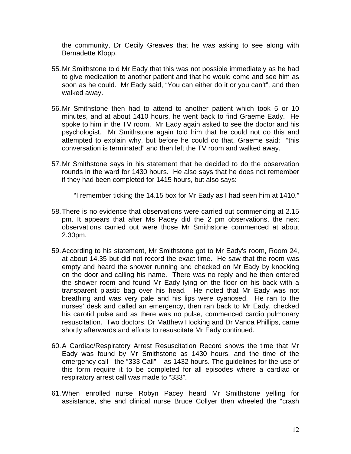the community, Dr Cecily Greaves that he was asking to see along with Bernadette Klopp.

- 55. Mr Smithstone told Mr Eady that this was not possible immediately as he had to give medication to another patient and that he would come and see him as soon as he could. Mr Eady said, "You can either do it or you can't", and then walked away.
- 56. Mr Smithstone then had to attend to another patient which took 5 or 10 minutes, and at about 1410 hours, he went back to find Graeme Eady. He spoke to him in the TV room. Mr Eady again asked to see the doctor and his psychologist. Mr Smithstone again told him that he could not do this and attempted to explain why, but before he could do that, Graeme said: "this conversation is terminated" and then left the TV room and walked away.
- 57. Mr Smithstone says in his statement that he decided to do the observation rounds in the ward for 1430 hours. He also says that he does not remember if they had been completed for 1415 hours, but also says:

"I remember ticking the 14.15 box for Mr Eady as I had seen him at 1410."

- 58. There is no evidence that observations were carried out commencing at 2.15 pm. It appears that after Ms Pacey did the 2 pm observations, the next observations carried out were those Mr Smithstone commenced at about 2.30pm.
- 59. According to his statement, Mr Smithstone got to Mr Eady's room, Room 24, at about 14.35 but did not record the exact time. He saw that the room was empty and heard the shower running and checked on Mr Eady by knocking on the door and calling his name. There was no reply and he then entered the shower room and found Mr Eady lying on the floor on his back with a transparent plastic bag over his head. He noted that Mr Eady was not breathing and was very pale and his lips were cyanosed. He ran to the nurses' desk and called an emergency, then ran back to Mr Eady, checked his carotid pulse and as there was no pulse, commenced cardio pulmonary resuscitation. Two doctors, Dr Matthew Hocking and Dr Vanda Phillips, came shortly afterwards and efforts to resuscitate Mr Eady continued.
- 60. A Cardiac/Respiratory Arrest Resuscitation Record shows the time that Mr Eady was found by Mr Smithstone as 1430 hours, and the time of the emergency call - the "333 Call" – as 1432 hours. The guidelines for the use of this form require it to be completed for all episodes where a cardiac or respiratory arrest call was made to "333".
- 61. When enrolled nurse Robyn Pacey heard Mr Smithstone yelling for assistance, she and clinical nurse Bruce Collyer then wheeled the "crash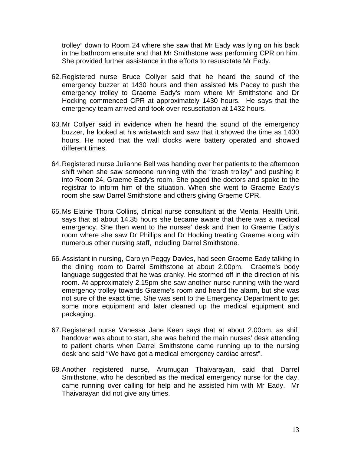trolley" down to Room 24 where she saw that Mr Eady was lying on his back in the bathroom ensuite and that Mr Smithstone was performing CPR on him. She provided further assistance in the efforts to resuscitate Mr Eady.

- 62. Registered nurse Bruce Collyer said that he heard the sound of the emergency buzzer at 1430 hours and then assisted Ms Pacey to push the emergency trolley to Graeme Eady's room where Mr Smithstone and Dr Hocking commenced CPR at approximately 1430 hours. He says that the emergency team arrived and took over resuscitation at 1432 hours.
- 63. Mr Collyer said in evidence when he heard the sound of the emergency buzzer, he looked at his wristwatch and saw that it showed the time as 1430 hours. He noted that the wall clocks were battery operated and showed different times.
- 64. Registered nurse Julianne Bell was handing over her patients to the afternoon shift when she saw someone running with the "crash trolley" and pushing it into Room 24, Graeme Eady's room. She paged the doctors and spoke to the registrar to inform him of the situation. When she went to Graeme Eady's room she saw Darrel Smithstone and others giving Graeme CPR.
- 65. Ms Elaine Thora Collins, clinical nurse consultant at the Mental Health Unit, says that at about 14.35 hours she became aware that there was a medical emergency. She then went to the nurses' desk and then to Graeme Eady's room where she saw Dr Phillips and Dr Hocking treating Graeme along with numerous other nursing staff, including Darrel Smithstone.
- 66. Assistant in nursing, Carolyn Peggy Davies, had seen Graeme Eady talking in the dining room to Darrel Smithstone at about 2.00pm. Graeme's body language suggested that he was cranky. He stormed off in the direction of his room. At approximately 2.15pm she saw another nurse running with the ward emergency trolley towards Graeme's room and heard the alarm, but she was not sure of the exact time. She was sent to the Emergency Department to get some more equipment and later cleaned up the medical equipment and packaging.
- 67. Registered nurse Vanessa Jane Keen says that at about 2.00pm, as shift handover was about to start, she was behind the main nurses' desk attending to patient charts when Darrel Smithstone came running up to the nursing desk and said "We have got a medical emergency cardiac arrest".
- 68. Another registered nurse, Arumugan Thaivarayan, said that Darrel Smithstone, who he described as the medical emergency nurse for the day, came running over calling for help and he assisted him with Mr Eady. Mr Thaivarayan did not give any times.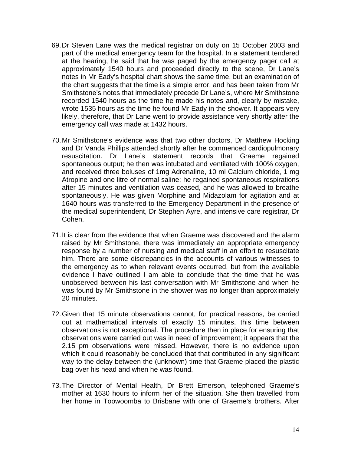- 69. Dr Steven Lane was the medical registrar on duty on 15 October 2003 and part of the medical emergency team for the hospital. In a statement tendered at the hearing, he said that he was paged by the emergency pager call at approximately 1540 hours and proceeded directly to the scene, Dr Lane's notes in Mr Eady's hospital chart shows the same time, but an examination of the chart suggests that the time is a simple error, and has been taken from Mr Smithstone's notes that immediately precede Dr Lane's, where Mr Smithstone recorded 1540 hours as the time he made his notes and, clearly by mistake, wrote 1535 hours as the time he found Mr Eady in the shower. It appears very likely, therefore, that Dr Lane went to provide assistance very shortly after the emergency call was made at 1432 hours.
- 70. Mr Smithstone's evidence was that two other doctors, Dr Matthew Hocking and Dr Vanda Phillips attended shortly after he commenced cardiopulmonary resuscitation. Dr Lane's statement records that Graeme regained spontaneous output; he then was intubated and ventilated with 100% oxygen, and received three boluses of 1mg Adrenaline, 10 ml Calcium chloride, 1 mg Atropine and one litre of normal saline; he regained spontaneous respirations after 15 minutes and ventilation was ceased, and he was allowed to breathe spontaneously. He was given Morphine and Midazolam for agitation and at 1640 hours was transferred to the Emergency Department in the presence of the medical superintendent, Dr Stephen Ayre, and intensive care registrar, Dr Cohen.
- 71. It is clear from the evidence that when Graeme was discovered and the alarm raised by Mr Smithstone, there was immediately an appropriate emergency response by a number of nursing and medical staff in an effort to resuscitate him. There are some discrepancies in the accounts of various witnesses to the emergency as to when relevant events occurred, but from the available evidence I have outlined I am able to conclude that the time that he was unobserved between his last conversation with Mr Smithstone and when he was found by Mr Smithstone in the shower was no longer than approximately 20 minutes.
- 72. Given that 15 minute observations cannot, for practical reasons, be carried out at mathematical intervals of exactly 15 minutes, this time between observations is not exceptional. The procedure then in place for ensuring that observations were carried out was in need of improvement; it appears that the 2.15 pm observations were missed. However, there is no evidence upon which it could reasonably be concluded that that contributed in any significant way to the delay between the (unknown) time that Graeme placed the plastic bag over his head and when he was found.
- 73. The Director of Mental Health, Dr Brett Emerson, telephoned Graeme's mother at 1630 hours to inform her of the situation. She then travelled from her home in Toowoomba to Brisbane with one of Graeme's brothers. After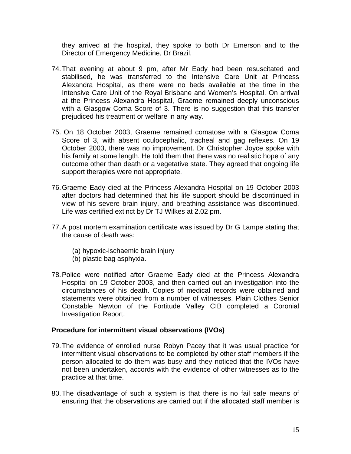they arrived at the hospital, they spoke to both Dr Emerson and to the Director of Emergency Medicine, Dr Brazil.

- 74. That evening at about 9 pm, after Mr Eady had been resuscitated and stabilised, he was transferred to the Intensive Care Unit at Princess Alexandra Hospital, as there were no beds available at the time in the Intensive Care Unit of the Royal Brisbane and Women's Hospital. On arrival at the Princess Alexandra Hospital, Graeme remained deeply unconscious with a Glasgow Coma Score of 3. There is no suggestion that this transfer prejudiced his treatment or welfare in any way.
- 75. On 18 October 2003, Graeme remained comatose with a Glasgow Coma Score of 3, with absent oculocephalic, tracheal and gag reflexes. On 19 October 2003, there was no improvement. Dr Christopher Joyce spoke with his family at some length. He told them that there was no realistic hope of any outcome other than death or a vegetative state. They agreed that ongoing life support therapies were not appropriate.
- 76. Graeme Eady died at the Princess Alexandra Hospital on 19 October 2003 after doctors had determined that his life support should be discontinued in view of his severe brain injury, and breathing assistance was discontinued. Life was certified extinct by Dr TJ Wilkes at 2.02 pm.
- 77. A post mortem examination certificate was issued by Dr G Lampe stating that the cause of death was:
	- (a) hypoxic-ischaemic brain injury
	- (b) plastic bag asphyxia.
- 78. Police were notified after Graeme Eady died at the Princess Alexandra Hospital on 19 October 2003, and then carried out an investigation into the circumstances of his death. Copies of medical records were obtained and statements were obtained from a number of witnesses. Plain Clothes Senior Constable Newton of the Fortitude Valley CIB completed a Coronial Investigation Report.

#### **Procedure for intermittent visual observations (IVOs)**

- 79. The evidence of enrolled nurse Robyn Pacey that it was usual practice for intermittent visual observations to be completed by other staff members if the person allocated to do them was busy and they noticed that the IVOs have not been undertaken, accords with the evidence of other witnesses as to the practice at that time.
- 80. The disadvantage of such a system is that there is no fail safe means of ensuring that the observations are carried out if the allocated staff member is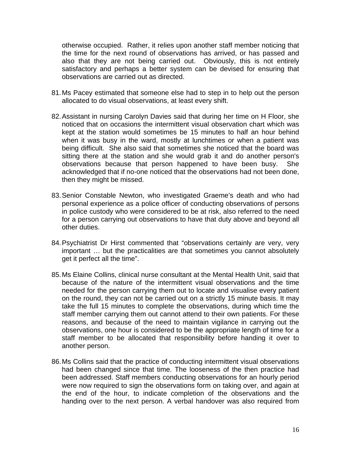otherwise occupied. Rather, it relies upon another staff member noticing that the time for the next round of observations has arrived, or has passed and also that they are not being carried out. Obviously, this is not entirely satisfactory and perhaps a better system can be devised for ensuring that observations are carried out as directed.

- 81. Ms Pacey estimated that someone else had to step in to help out the person allocated to do visual observations, at least every shift.
- 82. Assistant in nursing Carolyn Davies said that during her time on H Floor, she noticed that on occasions the intermittent visual observation chart which was kept at the station would sometimes be 15 minutes to half an hour behind when it was busy in the ward, mostly at lunchtimes or when a patient was being difficult. She also said that sometimes she noticed that the board was sitting there at the station and she would grab it and do another person's observations because that person happened to have been busy. She acknowledged that if no-one noticed that the observations had not been done, then they might be missed.
- 83. Senior Constable Newton, who investigated Graeme's death and who had personal experience as a police officer of conducting observations of persons in police custody who were considered to be at risk, also referred to the need for a person carrying out observations to have that duty above and beyond all other duties.
- 84. Psychiatrist Dr Hirst commented that "observations certainly are very, very important … but the practicalities are that sometimes you cannot absolutely get it perfect all the time".
- 85. Ms Elaine Collins, clinical nurse consultant at the Mental Health Unit, said that because of the nature of the intermittent visual observations and the time needed for the person carrying them out to locate and visualise every patient on the round, they can not be carried out on a strictly 15 minute basis. It may take the full 15 minutes to complete the observations, during which time the staff member carrying them out cannot attend to their own patients. For these reasons, and because of the need to maintain vigilance in carrying out the observations, one hour is considered to be the appropriate length of time for a staff member to be allocated that responsibility before handing it over to another person.
- 86. Ms Collins said that the practice of conducting intermittent visual observations had been changed since that time. The looseness of the then practice had been addressed. Staff members conducting observations for an hourly period were now required to sign the observations form on taking over, and again at the end of the hour, to indicate completion of the observations and the handing over to the next person. A verbal handover was also required from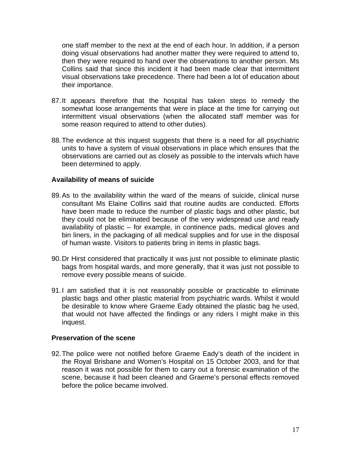one staff member to the next at the end of each hour. In addition, if a person doing visual observations had another matter they were required to attend to, then they were required to hand over the observations to another person. Ms Collins said that since this incident it had been made clear that intermittent visual observations take precedence. There had been a lot of education about their importance.

- 87. It appears therefore that the hospital has taken steps to remedy the somewhat loose arrangements that were in place at the time for carrying out intermittent visual observations (when the allocated staff member was for some reason required to attend to other duties).
- 88. The evidence at this inquest suggests that there is a need for all psychiatric units to have a system of visual observations in place which ensures that the observations are carried out as closely as possible to the intervals which have been determined to apply.

#### **Availability of means of suicide**

- 89. As to the availability within the ward of the means of suicide, clinical nurse consultant Ms Elaine Collins said that routine audits are conducted. Efforts have been made to reduce the number of plastic bags and other plastic, but they could not be eliminated because of the very widespread use and ready availability of plastic – for example, in continence pads, medical gloves and bin liners, in the packaging of all medical supplies and for use in the disposal of human waste. Visitors to patients bring in items in plastic bags.
- 90. Dr Hirst considered that practically it was just not possible to eliminate plastic bags from hospital wards, and more generally, that it was just not possible to remove every possible means of suicide.
- 91.I am satisfied that it is not reasonably possible or practicable to eliminate plastic bags and other plastic material from psychiatric wards. Whilst it would be desirable to know where Graeme Eady obtained the plastic bag he used, that would not have affected the findings or any riders I might make in this inquest.

#### **Preservation of the scene**

92. The police were not notified before Graeme Eady's death of the incident in the Royal Brisbane and Women's Hospital on 15 October 2003, and for that reason it was not possible for them to carry out a forensic examination of the scene, because it had been cleaned and Graeme's personal effects removed before the police became involved.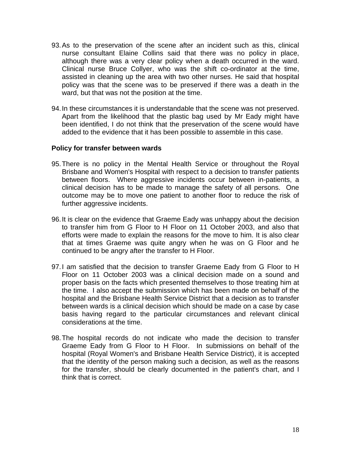- 93. As to the preservation of the scene after an incident such as this, clinical nurse consultant Elaine Collins said that there was no policy in place, although there was a very clear policy when a death occurred in the ward. Clinical nurse Bruce Collyer, who was the shift co-ordinator at the time, assisted in cleaning up the area with two other nurses. He said that hospital policy was that the scene was to be preserved if there was a death in the ward, but that was not the position at the time.
- 94. In these circumstances it is understandable that the scene was not preserved. Apart from the likelihood that the plastic bag used by Mr Eady might have been identified, I do not think that the preservation of the scene would have added to the evidence that it has been possible to assemble in this case.

#### **Policy for transfer between wards**

- 95. There is no policy in the Mental Health Service or throughout the Royal Brisbane and Women's Hospital with respect to a decision to transfer patients between floors. Where aggressive incidents occur between in-patients, a clinical decision has to be made to manage the safety of all persons. One outcome may be to move one patient to another floor to reduce the risk of further aggressive incidents.
- 96. It is clear on the evidence that Graeme Eady was unhappy about the decision to transfer him from G Floor to H Floor on 11 October 2003, and also that efforts were made to explain the reasons for the move to him. It is also clear that at times Graeme was quite angry when he was on G Floor and he continued to be angry after the transfer to H Floor.
- 97. I am satisfied that the decision to transfer Graeme Eady from G Floor to H Floor on 11 October 2003 was a clinical decision made on a sound and proper basis on the facts which presented themselves to those treating him at the time. I also accept the submission which has been made on behalf of the hospital and the Brisbane Health Service District that a decision as to transfer between wards is a clinical decision which should be made on a case by case basis having regard to the particular circumstances and relevant clinical considerations at the time.
- 98. The hospital records do not indicate who made the decision to transfer Graeme Eady from G Floor to H Floor. In submissions on behalf of the hospital (Royal Women's and Brisbane Health Service District), it is accepted that the identity of the person making such a decision, as well as the reasons for the transfer, should be clearly documented in the patient's chart, and I think that is correct.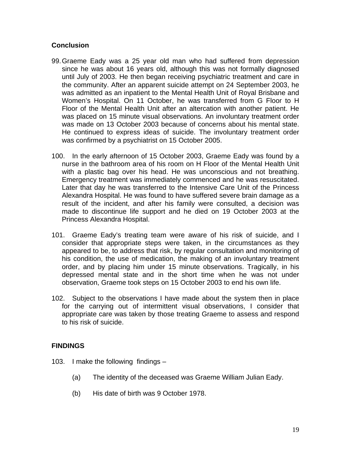### **Conclusion**

- 99. Graeme Eady was a 25 year old man who had suffered from depression since he was about 16 years old, although this was not formally diagnosed until July of 2003. He then began receiving psychiatric treatment and care in the community. After an apparent suicide attempt on 24 September 2003, he was admitted as an inpatient to the Mental Health Unit of Royal Brisbane and Women's Hospital. On 11 October, he was transferred from G Floor to H Floor of the Mental Health Unit after an altercation with another patient. He was placed on 15 minute visual observations. An involuntary treatment order was made on 13 October 2003 because of concerns about his mental state. He continued to express ideas of suicide. The involuntary treatment order was confirmed by a psychiatrist on 15 October 2005.
- 100. In the early afternoon of 15 October 2003, Graeme Eady was found by a nurse in the bathroom area of his room on H Floor of the Mental Health Unit with a plastic bag over his head. He was unconscious and not breathing. Emergency treatment was immediately commenced and he was resuscitated. Later that day he was transferred to the Intensive Care Unit of the Princess Alexandra Hospital. He was found to have suffered severe brain damage as a result of the incident, and after his family were consulted, a decision was made to discontinue life support and he died on 19 October 2003 at the Princess Alexandra Hospital.
- 101. Graeme Eady's treating team were aware of his risk of suicide, and I consider that appropriate steps were taken, in the circumstances as they appeared to be, to address that risk, by regular consultation and monitoring of his condition, the use of medication, the making of an involuntary treatment order, and by placing him under 15 minute observations. Tragically, in his depressed mental state and in the short time when he was not under observation, Graeme took steps on 15 October 2003 to end his own life.
- 102. Subject to the observations I have made about the system then in place for the carrying out of intermittent visual observations, I consider that appropriate care was taken by those treating Graeme to assess and respond to his risk of suicide.

## **FINDINGS**

- 103. I make the following findings
	- (a) The identity of the deceased was Graeme William Julian Eady.
	- (b) His date of birth was 9 October 1978.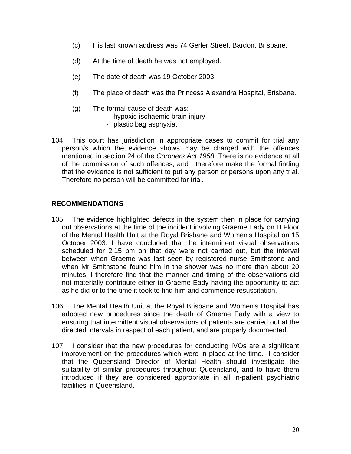- (c) His last known address was 74 Gerler Street, Bardon, Brisbane.
- (d) At the time of death he was not employed.
- (e) The date of death was 19 October 2003.
- (f) The place of death was the Princess Alexandra Hospital, Brisbane.
- (g) The formal cause of death was:
	- hypoxic-ischaemic brain injury
	- plastic bag asphyxia.
- 104. This court has jurisdiction in appropriate cases to commit for trial any person/s which the evidence shows may be charged with the offences mentioned in section 24 of the *Coroners Act 1958*. There is no evidence at all of the commission of such offences, and I therefore make the formal finding that the evidence is not sufficient to put any person or persons upon any trial. Therefore no person will be committed for trial.

#### **RECOMMENDATIONS**

- 105. The evidence highlighted defects in the system then in place for carrying out observations at the time of the incident involving Graeme Eady on H Floor of the Mental Health Unit at the Royal Brisbane and Women's Hospital on 15 October 2003. I have concluded that the intermittent visual observations scheduled for 2.15 pm on that day were not carried out, but the interval between when Graeme was last seen by registered nurse Smithstone and when Mr Smithstone found him in the shower was no more than about 20 minutes. I therefore find that the manner and timing of the observations did not materially contribute either to Graeme Eady having the opportunity to act as he did or to the time it took to find him and commence resuscitation.
- 106. The Mental Health Unit at the Royal Brisbane and Women's Hospital has adopted new procedures since the death of Graeme Eady with a view to ensuring that intermittent visual observations of patients are carried out at the directed intervals in respect of each patient, and are properly documented.
- 107. I consider that the new procedures for conducting IVOs are a significant improvement on the procedures which were in place at the time. I consider that the Queensland Director of Mental Health should investigate the suitability of similar procedures throughout Queensland, and to have them introduced if they are considered appropriate in all in-patient psychiatric facilities in Queensland.